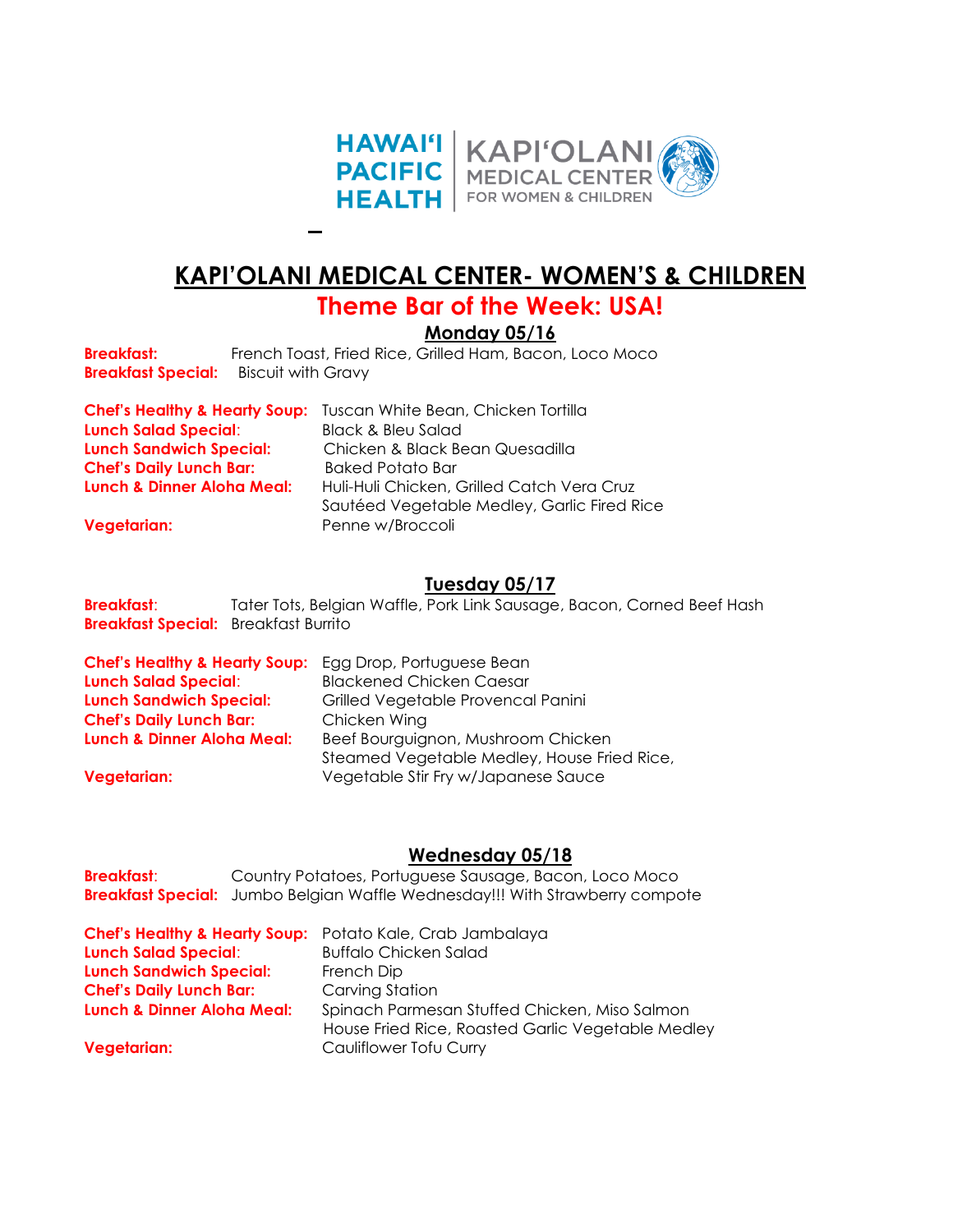

## **KAPI'OLANI MEDICAL CENTER- WOMEN'S & CHILDREN**

# **Theme Bar of the Week: USA!**

## **Monday 05/16**

**Breakfast:** French Toast, Fried Rice, Grilled Ham, Bacon, Loco Moco **Breakfast Special:** Biscuit with Gravy

|                                       | <b>Chef's Healthy &amp; Hearty Soup:</b> Tuscan White Bean, Chicken Tortilla |
|---------------------------------------|------------------------------------------------------------------------------|
| <b>Lunch Salad Special:</b>           | <b>Black &amp; Bleu Salad</b>                                                |
| <b>Lunch Sandwich Special:</b>        | Chicken & Black Bean Quesadilla                                              |
| <b>Chef's Daily Lunch Bar:</b>        | <b>Baked Potato Bar</b>                                                      |
| <b>Lunch &amp; Dinner Aloha Meal:</b> | Huli-Huli Chicken, Grilled Catch Vera Cruz                                   |
|                                       | Sautéed Vegetable Medley, Garlic Fired Rice                                  |
| <b>Vegetarian:</b>                    | Penne w/Broccoli                                                             |

#### **Tuesday 05/17**

**Breakfast:** Tater Tots, Belgian Waffle, Pork Link Sausage, Bacon, Corned Beef Hash **Breakfast Special:** Breakfast Burrito

| <b>Chef's Healthy &amp; Hearty Soup:</b> | Egg Drop, Portuguese Bean                   |
|------------------------------------------|---------------------------------------------|
| <b>Lunch Salad Special:</b>              | <b>Blackened Chicken Caesar</b>             |
| <b>Lunch Sandwich Special:</b>           | Grilled Vegetable Provencal Panini          |
| <b>Chef's Daily Lunch Bar:</b>           | Chicken Wing                                |
| <b>Lunch &amp; Dinner Aloha Meal:</b>    | Beef Bourguignon, Mushroom Chicken          |
|                                          | Steamed Vegetable Medley, House Fried Rice, |
| <b>Vegetarian:</b>                       | Vegetable Stir Fry w/Japanese Sauce         |

#### **Wednesday 05/18**

**Breakfast:** Country Potatoes, Portuguese Sausage, Bacon, Loco Moco **Breakfast Special:** Jumbo Belgian Waffle Wednesday!!! With Strawberry compote

|                                       | <b>Chef's Healthy &amp; Hearty Soup:</b> Potato Kale, Crab Jambalaya |
|---------------------------------------|----------------------------------------------------------------------|
| <b>Lunch Salad Special:</b>           | <b>Buffalo Chicken Salad</b>                                         |
| <b>Lunch Sandwich Special:</b>        | French Dip                                                           |
| <b>Chef's Daily Lunch Bar:</b>        | Carving Station                                                      |
| <b>Lunch &amp; Dinner Aloha Meal:</b> | Spinach Parmesan Stuffed Chicken, Miso Salmon                        |
|                                       | House Fried Rice, Roasted Garlic Vegetable Medley                    |
| <b>Vegetarian:</b>                    | Cauliflower Tofu Curry                                               |